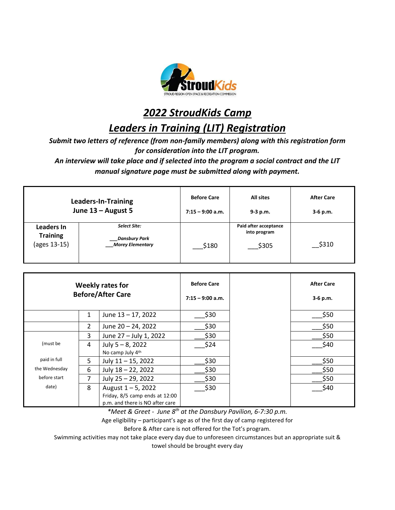

*2022 StroudKids Camp*

*Leaders in Training (LIT) Registration*

*Submit two letters of reference (from non-family members) along with this registration form for consideration into the LIT program.* 

*An interview will take place and if selected into the program a social contract and the LIT manual signature page must be submitted along with payment.*

| Leaders-In-Training                           |                                                           | <b>Before Care</b> | <b>All sites</b>                               | <b>After Care</b> |
|-----------------------------------------------|-----------------------------------------------------------|--------------------|------------------------------------------------|-------------------|
| June 13 - August 5                            |                                                           | $7:15 - 9:00$ a.m. | $9-3 p.m.$                                     | $3-6$ p.m.        |
| Leaders In<br><b>Training</b><br>(ages 13-15) | Select Site:<br>Dansbury Park_<br><b>Morey Elementary</b> | \$180              | Paid after acceptance<br>into program<br>\$305 | \$310             |

| <b>Weekly rates for</b><br><b>Before/After Care</b> |                |                                                                                            | <b>Before Care</b><br>$7:15 - 9:00$ a.m. | <b>After Care</b><br>$3-6$ p.m. |
|-----------------------------------------------------|----------------|--------------------------------------------------------------------------------------------|------------------------------------------|---------------------------------|
|                                                     | 1              | June 13 - 17, 2022                                                                         | \$30                                     | \$50                            |
|                                                     | $\overline{2}$ | June 20 - 24, 2022                                                                         | \$30                                     | \$50                            |
|                                                     | 3              | June 27 - July 1, 2022                                                                     | \$30                                     | \$50                            |
| (must be                                            | 4              | July $5 - 8$ , 2022<br>No camp July 4th                                                    | \$24                                     | \$40                            |
| paid in full                                        | 5              | July $11 - 15$ , 2022                                                                      | \$30                                     | \$50                            |
| the Wednesday                                       | 6              | July 18 - 22, 2022                                                                         | \$30                                     | \$50                            |
| before start                                        | 7              | July 25 - 29, 2022                                                                         | \$30                                     | \$50                            |
| date)                                               | 8              | August $1 - 5$ , 2022<br>Friday, 8/5 camp ends at 12:00<br>p.m. and there is NO after care | \$30                                     | \$40                            |

*\*Meet & Greet - June 8th at the Dansbury Pavilion, 6-7:30 p.m.*

Age eligibility – participant's age as of the first day of camp registered for

Before & After care is not offered for the Tot's program.

Swimming activities may not take place every day due to unforeseen circumstances but an appropriate suit &

towel should be brought every day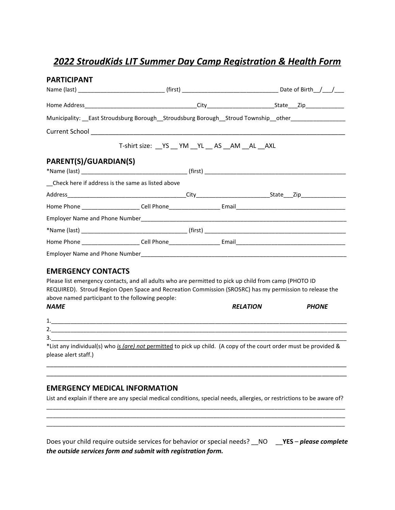# *2022 StroudKids LIT Summer Day Camp Registration & Health Form*

| <b>PARTICIPANT</b>                                                                                                                         |                                     |              |
|--------------------------------------------------------------------------------------------------------------------------------------------|-------------------------------------|--------------|
|                                                                                                                                            |                                     |              |
|                                                                                                                                            |                                     |              |
| Municipality: __East Stroudsburg Borough__Stroudsburg Borough__Stroud Township__other______________                                        |                                     |              |
|                                                                                                                                            |                                     |              |
|                                                                                                                                            | T-shirt size: YS YM YL AS AM AL AXL |              |
| PARENT(S)/GUARDIAN(S)                                                                                                                      |                                     |              |
|                                                                                                                                            |                                     |              |
| Check here if address is the same as listed above                                                                                          |                                     |              |
|                                                                                                                                            |                                     |              |
|                                                                                                                                            |                                     |              |
|                                                                                                                                            |                                     |              |
|                                                                                                                                            |                                     |              |
|                                                                                                                                            |                                     |              |
|                                                                                                                                            |                                     |              |
| <b>EMERGENCY CONTACTS</b>                                                                                                                  |                                     |              |
| Please list emergency contacts, and all adults who are permitted to pick up child from camp (PHOTO ID                                      |                                     |              |
| REQUIRED). Stroud Region Open Space and Recreation Commission (SROSRC) has my permission to release the                                    |                                     |              |
| above named participant to the following people:                                                                                           |                                     |              |
| <b>NAME</b>                                                                                                                                | <b>RELATION</b>                     | <b>PHONE</b> |
|                                                                                                                                            |                                     |              |
|                                                                                                                                            |                                     |              |
|                                                                                                                                            |                                     |              |
| *List any individual(s) who is (are) not permitted to pick up child. (A copy of the court order must be provided &<br>please alert staff.) |                                     |              |

#### **EMERGENCY MEDICAL INFORMATION**

List and explain if there are any special medical conditions, special needs, allergies, or restrictions to be aware of?

\_\_\_\_\_\_\_\_\_\_\_\_\_\_\_\_\_\_\_\_\_\_\_\_\_\_\_\_\_\_\_\_\_\_\_\_\_\_\_\_\_\_\_\_\_\_\_\_\_\_\_\_\_\_\_\_\_\_\_\_\_\_\_\_\_\_\_\_\_\_\_\_\_\_\_\_\_\_\_\_\_\_\_\_\_\_\_\_\_\_\_\_\_ \_\_\_\_\_\_\_\_\_\_\_\_\_\_\_\_\_\_\_\_\_\_\_\_\_\_\_\_\_\_\_\_\_\_\_\_\_\_\_\_\_\_\_\_\_\_\_\_\_\_\_\_\_\_\_\_\_\_\_\_\_\_\_\_\_\_\_\_\_\_\_\_\_\_\_\_\_\_\_\_\_\_\_\_\_\_\_\_\_\_\_\_\_ \_\_\_\_\_\_\_\_\_\_\_\_\_\_\_\_\_\_\_\_\_\_\_\_\_\_\_\_\_\_\_\_\_\_\_\_\_\_\_\_\_\_\_\_\_\_\_\_\_\_\_\_\_\_\_\_\_\_\_\_\_\_\_\_\_\_\_\_\_\_\_\_\_\_\_\_\_\_\_\_\_\_\_\_\_\_\_\_\_\_\_\_\_

\_\_\_\_\_\_\_\_\_\_\_\_\_\_\_\_\_\_\_\_\_\_\_\_\_\_\_\_\_\_\_\_\_\_\_\_\_\_\_\_\_\_\_\_\_\_\_\_\_\_\_\_\_\_\_\_\_\_\_\_\_\_\_\_\_\_\_\_\_\_\_\_\_\_\_\_\_\_\_\_\_\_\_\_\_

Does your child require outside services for behavior or special needs? \_\_NO \_\_**YES** – *please complete the outside services form and submit with registration form.*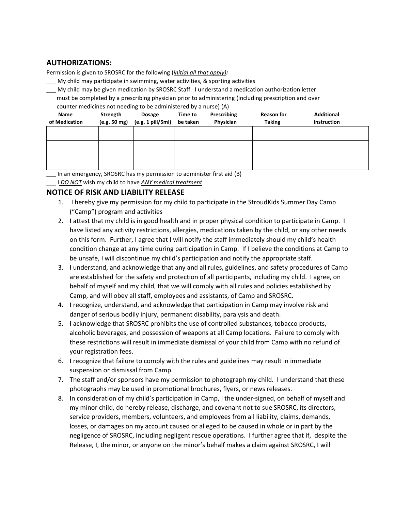## **AUTHORIZATIONS:**

Permission is given to SROSRC for the following (*initial all that apply):*

- My child may participate in swimming, water activities, & sporting activities
- \_\_\_ My child may be given medication by SROSRC Staff. I understand a medication authorization letter must be completed by a prescribing physician prior to administering (including prescription and over counter medicines not needing to be administered by a nurse) (A)

| <b>Name</b><br>of Medication | Strength<br>(e.g. 50 mg) | <b>Dosage</b><br>(e.g. 1 pill/5ml) | Time to<br>be taken | Prescribing<br>Physician | <b>Reason for</b><br><b>Taking</b> | <b>Additional</b><br><b>Instruction</b> |
|------------------------------|--------------------------|------------------------------------|---------------------|--------------------------|------------------------------------|-----------------------------------------|
|                              |                          |                                    |                     |                          |                                    |                                         |
|                              |                          |                                    |                     |                          |                                    |                                         |
|                              |                          |                                    |                     |                          |                                    |                                         |

In an emergency, SROSRC has my permission to administer first aid (B)

\_\_\_ I *DO NOT* wish my child to have *ANY medical treatment*

## **NOTICE OF RISK AND LIABILITY RELEASE**

- 1. I hereby give my permission for my child to participate in the StroudKids Summer Day Camp ("Camp") program and activities
- 2. I attest that my child is in good health and in proper physical condition to participate in Camp. I have listed any activity restrictions, allergies, medications taken by the child, or any other needs on this form. Further, I agree that I will notify the staff immediately should my child's health condition change at any time during participation in Camp. If I believe the conditions at Camp to be unsafe, I will discontinue my child's participation and notify the appropriate staff.
- 3. I understand, and acknowledge that any and all rules, guidelines, and safety procedures of Camp are established for the safety and protection of all participants, including my child. I agree, on behalf of myself and my child, that we will comply with all rules and policies established by Camp, and will obey all staff, employees and assistants, of Camp and SROSRC.
- 4. I recognize, understand, and acknowledge that participation in Camp may involve risk and danger of serious bodily injury, permanent disability, paralysis and death.
- 5. I acknowledge that SROSRC prohibits the use of controlled substances, tobacco products, alcoholic beverages, and possession of weapons at all Camp locations. Failure to comply with these restrictions will result in immediate dismissal of your child from Camp with no refund of your registration fees.
- 6. I recognize that failure to comply with the rules and guidelines may result in immediate suspension or dismissal from Camp.
- 7. The staff and/or sponsors have my permission to photograph my child. I understand that these photographs may be used in promotional brochures, flyers, or news releases.
- 8. In consideration of my child's participation in Camp, I the under-signed, on behalf of myself and my minor child, do hereby release, discharge, and covenant not to sue SROSRC, its directors, service providers, members, volunteers, and employees from all liability, claims, demands, losses, or damages on my account caused or alleged to be caused in whole or in part by the negligence of SROSRC, including negligent rescue operations. I further agree that if, despite the Release, I, the minor, or anyone on the minor's behalf makes a claim against SROSRC, I will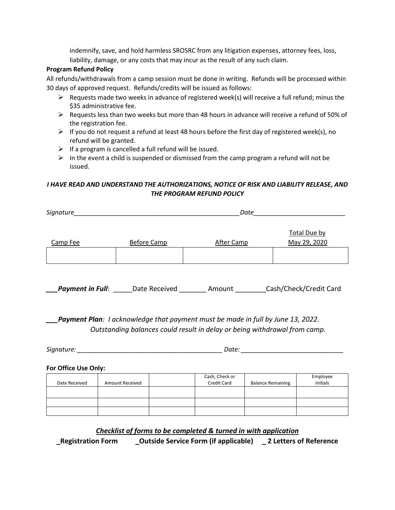indemnify, save, and hold harmless SROSRC from any litigation expenses, attorney fees, loss, liability, damage, or any costs that may incur as the result of any such claim.

#### **Program Refund Policy**

All refunds/withdrawals from a camp session must be done in writing. Refunds will be processed within 30 days of approved request. Refunds/credits will be issued as follows:

- $\triangleright$  Requests made two weeks in advance of registered week(s) will receive a full refund; minus the \$35 administrative fee.
- $\triangleright$  Requests less than two weeks but more than 48 hours in advance will receive a refund of 50% of the registration fee.
- $\triangleright$  If you do not request a refund at least 48 hours before the first day of registered week(s), no refund will be granted.
- $\triangleright$  If a program is cancelled a full refund will be issued.
- $\triangleright$  In the event a child is suspended or dismissed from the camp program a refund will not be issued.

#### *I HAVE READ AND UNDERSTAND THE AUTHORIZATIONS, NOTICE OF RISK AND LIABILITY RELEASE, AND THE PROGRAM REFUND POLICY*

| Signature_ |                    | Date              |                                     |  |
|------------|--------------------|-------------------|-------------------------------------|--|
| Camp Fee   | <b>Before Camp</b> | <b>After Camp</b> | <b>Total Due by</b><br>May 29, 2020 |  |
|            |                    |                   |                                     |  |
|            |                    |                   |                                     |  |

*\_\_\_Payment in Full*: \_\_\_\_\_Date Received \_\_\_\_\_\_\_ Amount \_\_\_\_\_\_\_\_Cash/Check/Credit Card

*\_\_\_Payment Plan: I acknowledge that payment must be made in full by June 13, 2022. Outstanding balances could result in delay or being withdrawal from camp.*

*Signature: \_\_\_\_\_\_\_\_\_\_\_\_\_\_\_\_\_\_\_\_\_\_\_\_\_\_\_\_\_\_\_\_\_\_\_\_\_\_\_\_\_ Date: \_\_\_\_\_\_\_\_\_\_\_\_\_\_\_\_\_\_\_\_\_\_\_\_\_\_\_\_\_*

**For Office Use Only:**

|               |                        | Cash, Check or |                          | Employee |
|---------------|------------------------|----------------|--------------------------|----------|
| Date Received | <b>Amount Received</b> | Credit Card    | <b>Balance Remaining</b> | Initials |
|               |                        |                |                          |          |
|               |                        |                |                          |          |
|               |                        |                |                          |          |
|               |                        |                |                          |          |

## *Checklist of forms to be completed & turned in with application*

**\_Registration Form \_Outside Service Form (if applicable) \_ 2 Letters of Reference**